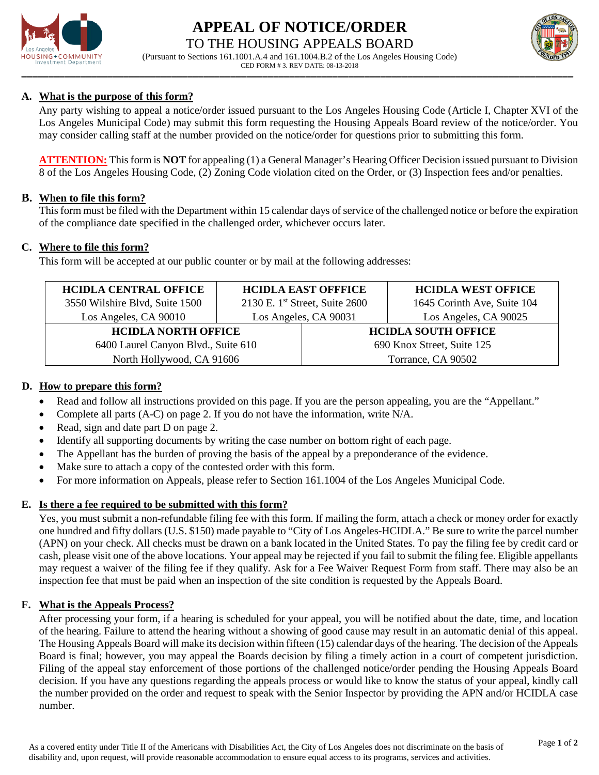

# **APPEAL OF NOTICE/ORDER** TO THE HOUSING APPEALS BOARD



**\_\_\_\_\_\_\_\_\_\_\_\_\_\_\_\_\_\_\_\_\_\_\_\_\_\_\_\_\_\_\_\_\_\_\_\_\_\_\_\_\_\_\_\_\_\_\_\_\_\_\_\_\_\_\_\_\_\_\_\_\_\_\_\_\_\_\_\_\_\_\_\_\_\_\_\_\_\_\_\_\_\_\_\_\_\_\_\_\_\_\_\_\_\_\_\_\_\_\_\_\_\_\_** (Pursuant to Sections 161.1001.A.4 and 161.1004.B.2 of the Los Angeles Housing Code) CED FORM # 3. REV DATE: 08-13-2018

# **A. What is the purpose of this form?**

Any party wishing to appeal a notice/order issued pursuant to the Los Angeles Housing Code (Article I, Chapter XVI of the Los Angeles Municipal Code) may submit this form requesting the Housing Appeals Board review of the notice/order. You may consider calling staff at the number provided on the notice/order for questions prior to submitting this form.

**ATTENTION:** This form is **NOT** for appealing (1) a General Manager's Hearing Officer Decision issued pursuant to Division 8 of the Los Angeles Housing Code, (2) Zoning Code violation cited on the Order, or (3) Inspection fees and/or penalties.

#### **B. When to file this form?**

This form must be filed with the Department within 15 calendar days of service of the challenged notice or before the expiration of the compliance date specified in the challenged order, whichever occurs later.

## **C. Where to file this form?**

This form will be accepted at our public counter or by mail at the following addresses:

| <b>HCIDLA CENTRAL OFFICE</b>        | <b>HCIDLA EAST OFFFICE</b>       |                            | <b>HCIDLA WEST OFFICE</b>   |
|-------------------------------------|----------------------------------|----------------------------|-----------------------------|
| 3550 Wilshire Blvd, Suite 1500      | 2130 E. 1st Street, Suite $2600$ |                            | 1645 Corinth Ave, Suite 104 |
| Los Angeles, CA 90010               | Los Angeles, CA 90031            |                            | Los Angeles, CA 90025       |
| <b>HCIDLA NORTH OFFICE</b>          |                                  | <b>HCIDLA SOUTH OFFICE</b> |                             |
| 6400 Laurel Canyon Blvd., Suite 610 |                                  | 690 Knox Street, Suite 125 |                             |
| North Hollywood, CA 91606           |                                  | Torrance, CA 90502         |                             |

## **D. How to prepare this form?**

- Read and follow all instructions provided on this page. If you are the person appealing, you are the "Appellant."
- Complete all parts (A-C) on page 2. If you do not have the information, write N/A.
- Read, sign and date part D on page 2.
- Identify all supporting documents by writing the case number on bottom right of each page.
- The Appellant has the burden of proving the basis of the appeal by a preponderance of the evidence.
- Make sure to attach a copy of the contested order with this form.
- For more information on Appeals, please refer to Section 161.1004 of the Los Angeles Municipal Code.

## **E. Is there a fee required to be submitted with this form?**

Yes, you must submit a non-refundable filing fee with this form. If mailing the form, attach a check or money order for exactly one hundred and fifty dollars (U.S. \$150) made payable to "City of Los Angeles-HCIDLA." Be sure to write the parcel number (APN) on your check. All checks must be drawn on a bank located in the United States. To pay the filing fee by credit card or cash, please visit one of the above locations. Your appeal may be rejected if you fail to submit the filing fee. Eligible appellants may request a waiver of the filing fee if they qualify. Ask for a Fee Waiver Request Form from staff. There may also be an inspection fee that must be paid when an inspection of the site condition is requested by the Appeals Board.

#### **F. What is the Appeals Process?**

After processing your form, if a hearing is scheduled for your appeal, you will be notified about the date, time, and location of the hearing. Failure to attend the hearing without a showing of good cause may result in an automatic denial of this appeal. The Housing Appeals Board will make its decision within fifteen (15) calendar days of the hearing. The decision of the Appeals Board is final; however, you may appeal the Boards decision by filing a timely action in a court of competent jurisdiction. Filing of the appeal stay enforcement of those portions of the challenged notice/order pending the Housing Appeals Board decision. If you have any questions regarding the appeals process or would like to know the status of your appeal, kindly call the number provided on the order and request to speak with the Senior Inspector by providing the APN and/or HCIDLA case number.